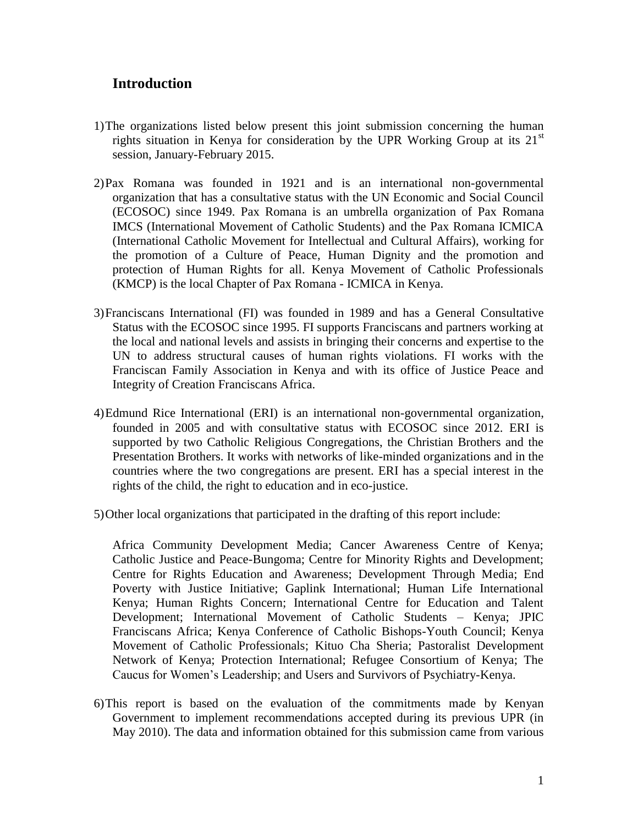# **Introduction**

- 1)The organizations listed below present this joint submission concerning the human rights situation in Kenya for consideration by the UPR Working Group at its  $21<sup>st</sup>$ session, January-February 2015.
- 2)Pax Romana was founded in 1921 and is an international non-governmental organization that has a consultative status with the UN Economic and Social Council (ECOSOC) since 1949. Pax Romana is an umbrella organization of Pax Romana IMCS (International Movement of Catholic Students) and the Pax Romana ICMICA (International Catholic Movement for Intellectual and Cultural Affairs), working for the promotion of a Culture of Peace, Human Dignity and the promotion and protection of Human Rights for all. Kenya Movement of Catholic Professionals (KMCP) is the local Chapter of Pax Romana - ICMICA in Kenya.
- 3)Franciscans International (FI) was founded in 1989 and has a General Consultative Status with the ECOSOC since 1995. FI supports Franciscans and partners working at the local and national levels and assists in bringing their concerns and expertise to the UN to address structural causes of human rights violations. FI works with the Franciscan Family Association in Kenya and with its office of Justice Peace and Integrity of Creation Franciscans Africa.
- 4)Edmund Rice International (ERI) is an international non-governmental organization, founded in 2005 and with consultative status with ECOSOC since 2012. ERI is supported by two Catholic Religious Congregations, the Christian Brothers and the Presentation Brothers. It works with networks of like-minded organizations and in the countries where the two congregations are present. ERI has a special interest in the rights of the child, the right to education and in eco-justice.
- 5)Other local organizations that participated in the drafting of this report include:

Africa Community Development Media; Cancer Awareness Centre of Kenya; Catholic Justice and Peace-Bungoma; Centre for Minority Rights and Development; Centre for Rights Education and Awareness; Development Through Media; End Poverty with Justice Initiative; Gaplink International; Human Life International Kenya; Human Rights Concern; International Centre for Education and Talent Development; International Movement of Catholic Students – Kenya; JPIC Franciscans Africa; Kenya Conference of Catholic Bishops-Youth Council; Kenya Movement of Catholic Professionals; Kituo Cha Sheria; Pastoralist Development Network of Kenya; Protection International; Refugee Consortium of Kenya; The Caucus for Women's Leadership; and Users and Survivors of Psychiatry-Kenya.

6)This report is based on the evaluation of the commitments made by Kenyan Government to implement recommendations accepted during its previous UPR (in May 2010). The data and information obtained for this submission came from various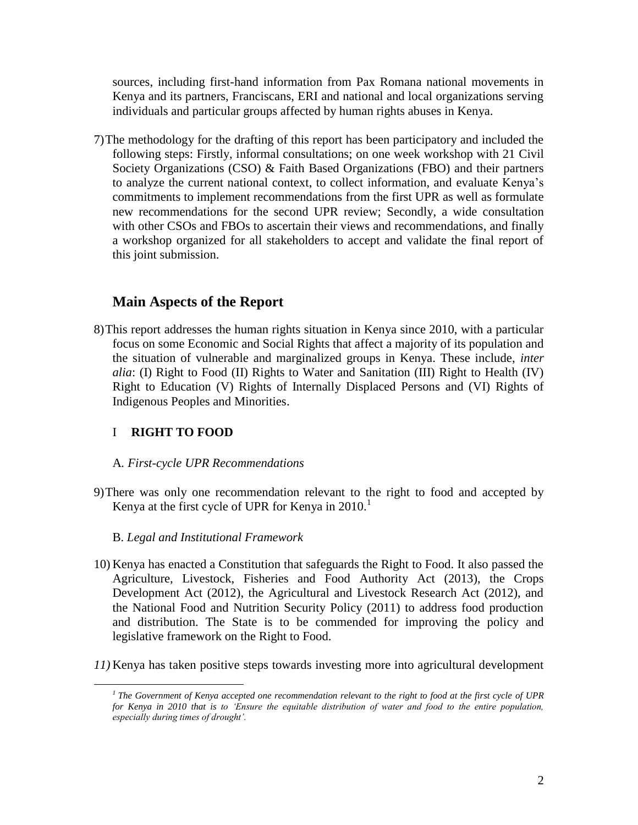sources, including first-hand information from Pax Romana national movements in Kenya and its partners, Franciscans, ERI and national and local organizations serving individuals and particular groups affected by human rights abuses in Kenya.

7)The methodology for the drafting of this report has been participatory and included the following steps: Firstly, informal consultations; on one week workshop with 21 Civil Society Organizations (CSO) & Faith Based Organizations (FBO) and their partners to analyze the current national context, to collect information, and evaluate Kenya's commitments to implement recommendations from the first UPR as well as formulate new recommendations for the second UPR review; Secondly, a wide consultation with other CSOs and FBOs to ascertain their views and recommendations, and finally a workshop organized for all stakeholders to accept and validate the final report of this joint submission.

# **Main Aspects of the Report**

8)This report addresses the human rights situation in Kenya since 2010, with a particular focus on some Economic and Social Rights that affect a majority of its population and the situation of vulnerable and marginalized groups in Kenya. These include, *inter alia*: (I) Right to Food (II) Rights to Water and Sanitation (III) Right to Health (IV) Right to Education (V) Rights of Internally Displaced Persons and (VI) Rights of Indigenous Peoples and Minorities.

# I **RIGHT TO FOOD**

 $\overline{a}$ 

## A*. First-cycle UPR Recommendations*

9)There was only one recommendation relevant to the right to food and accepted by Kenya at the first cycle of UPR for Kenya in  $2010$ <sup>1</sup>

## B. *Legal and Institutional Framework*

- 10) Kenya has enacted a Constitution that safeguards the Right to Food. It also passed the Agriculture, Livestock, Fisheries and Food Authority Act (2013), the Crops Development Act (2012), the Agricultural and Livestock Research Act (2012), and the National Food and Nutrition Security Policy (2011) to address food production and distribution. The State is to be commended for improving the policy and legislative framework on the Right to Food.
- *11)* Kenya has taken positive steps towards investing more into agricultural development

*<sup>1</sup> The Government of Kenya accepted one recommendation relevant to the right to food at the first cycle of UPR for Kenya in 2010 that is to 'Ensure the equitable distribution of water and food to the entire population, especially during times of drought'.*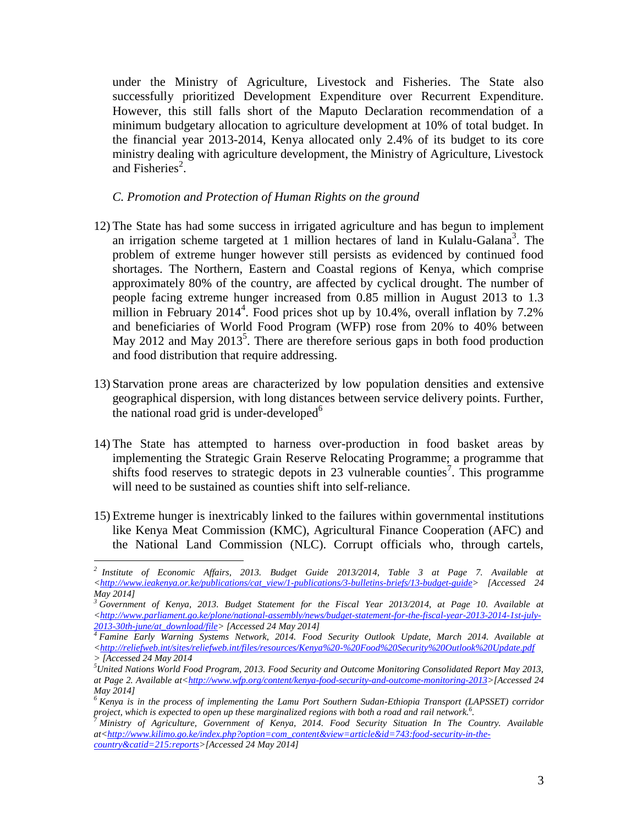under the Ministry of Agriculture, Livestock and Fisheries. The State also successfully prioritized Development Expenditure over Recurrent Expenditure. However, this still falls short of the Maputo Declaration recommendation of a minimum budgetary allocation to agriculture development at 10% of total budget. In the financial year 2013-2014, Kenya allocated only 2.4% of its budget to its core ministry dealing with agriculture development, the Ministry of Agriculture, Livestock and Fisheries<sup>2</sup>.

*C. Promotion and Protection of Human Rights on the ground*

- 12) The State has had some success in irrigated agriculture and has begun to implement an irrigation scheme targeted at 1 million hectares of land in Kulalu-Galana<sup>3</sup>. The problem of extreme hunger however still persists as evidenced by continued food shortages. The Northern, Eastern and Coastal regions of Kenya, which comprise approximately 80% of the country, are affected by cyclical drought. The number of people facing extreme hunger increased from 0.85 million in August 2013 to 1.3 million in February 2014<sup>4</sup>. Food prices shot up by 10.4%, overall inflation by 7.2% and beneficiaries of World Food Program (WFP) rose from 20% to 40% between May 2012 and May  $2013^5$ . There are therefore serious gaps in both food production and food distribution that require addressing.
- 13) Starvation prone areas are characterized by low population densities and extensive geographical dispersion, with long distances between service delivery points. Further, the national road grid is under-developed $<sup>6</sup>$ </sup>
- 14) The State has attempted to harness over-production in food basket areas by implementing the Strategic Grain Reserve Relocating Programme; a programme that shifts food reserves to strategic depots in 23 vulnerable counties<sup>7</sup>. This programme will need to be sustained as counties shift into self-reliance.
- 15) Extreme hunger is inextricably linked to the failures within governmental institutions like Kenya Meat Commission (KMC), Agricultural Finance Cooperation (AFC) and the National Land Commission (NLC). Corrupt officials who, through cartels,

 *2 Institute of Economic Affairs, 2013. Budget Guide 2013/2014, Table 3 at Page 7. Available at [<http://www.ieakenya.or.ke/publications/cat\\_view/1-publications/3-bulletins-briefs/13-budget-guide>](http://www.ieakenya.or.ke/publications/cat_view/1-publications/3-bulletins-briefs/13-budget-guide) [Accessed 24 May 2014]*

*<sup>3</sup> Government of Kenya, 2013. Budget Statement for the Fiscal Year 2013/2014, at Page 10. Available at [<http://www.parliament.go.ke/plone/national-assembly/news/budget-statement-for-the-fiscal-year-2013-2014-1st-july-](http://www.parliament.go.ke/plone/national-assembly/news/budget-statement-for-the-fiscal-year-2013-2014-1st-july-2013-30th-june/at_download/file)[2013-30th-june/at\\_download/file>](http://www.parliament.go.ke/plone/national-assembly/news/budget-statement-for-the-fiscal-year-2013-2014-1st-july-2013-30th-june/at_download/file) [Accessed 24 May 2014]*

*<sup>4</sup> Famine Early Warning Systems Network, 2014. Food Security Outlook Update, March 2014. Available at [<http://reliefweb.int/sites/reliefweb.int/files/resources/Kenya%20-%20Food%20Security%20Outlook%20Update.pdf](http://reliefweb.int/sites/reliefweb.int/files/resources/Kenya%20-%20Food%20Security%20Outlook%20Update.pdf)  > [Accessed 24 May 2014*

*<sup>5</sup>United Nations World Food Program, 2013. Food Security and Outcome Monitoring Consolidated Report May 2013, at Page 2. Available at[<http://www.wfp.org/content/kenya-food-security-and-outcome-monitoring-2013>](http://www.wfp.org/content/kenya-food-security-and-outcome-monitoring-2013)[Accessed 24 May 2014]*

*<sup>6</sup> Kenya is in the process of implementing the Lamu Port Southern Sudan-Ethiopia Transport (LAPSSET) corridor project, which is expected to open up these marginalized regions with both a road and rail network.<sup>6</sup> .* 

*<sup>7</sup> Ministry of Agriculture, Government of Kenya, 2014. Food Security Situation In The Country. Available at[<http://www.kilimo.go.ke/index.php?option=com\\_content&view=article&id=743:food-security-in-the](http://www.kilimo.go.ke/index.php?option=com_content&view=article&id=743:food-security-in-the-country&catid=215:reports)[country&catid=215:reports>](http://www.kilimo.go.ke/index.php?option=com_content&view=article&id=743:food-security-in-the-country&catid=215:reports)[Accessed 24 May 2014]*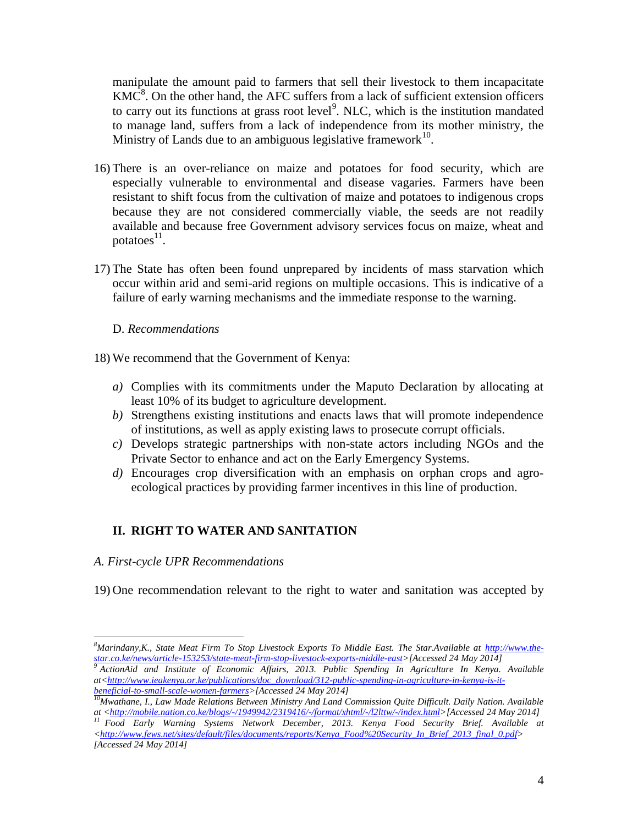manipulate the amount paid to farmers that sell their livestock to them incapacitate  $KM\overline{C}^8$ . On the other hand, the AFC suffers from a lack of sufficient extension officers to carry out its functions at grass root level<sup>9</sup>. NLC, which is the institution mandated to manage land, suffers from a lack of independence from its mother ministry, the Ministry of Lands due to an ambiguous legislative framework $10$ .

- 16) There is an over-reliance on maize and potatoes for food security, which are especially vulnerable to environmental and disease vagaries. Farmers have been resistant to shift focus from the cultivation of maize and potatoes to indigenous crops because they are not considered commercially viable, the seeds are not readily available and because free Government advisory services focus on maize, wheat and potatoes $^{11}$ .
- 17) The State has often been found unprepared by incidents of mass starvation which occur within arid and semi-arid regions on multiple occasions. This is indicative of a failure of early warning mechanisms and the immediate response to the warning.

## D. *Recommendations*

18) We recommend that the Government of Kenya:

- *a)* Complies with its commitments under the Maputo Declaration by allocating at least 10% of its budget to agriculture development.
- *b)* Strengthens existing institutions and enacts laws that will promote independence of institutions, as well as apply existing laws to prosecute corrupt officials.
- *c)* Develops strategic partnerships with non-state actors including NGOs and the Private Sector to enhance and act on the Early Emergency Systems.
- *d)* Encourages crop diversification with an emphasis on orphan crops and agroecological practices by providing farmer incentives in this line of production.

# **II. RIGHT TO WATER AND SANITATION**

## *A. First-cycle UPR Recommendations*

 $\overline{a}$ 

19) One recommendation relevant to the right to water and sanitation was accepted by

*<sup>8</sup>Marindany,K., State Meat Firm To Stop Livestock Exports To Middle East. The Star.Available at [http://www.the](http://www.the-star.co.ke/news/article-153253/state-meat-firm-stop-livestock-exports-middle-east)[star.co.ke/news/article-153253/state-meat-firm-stop-livestock-exports-middle-east>](http://www.the-star.co.ke/news/article-153253/state-meat-firm-stop-livestock-exports-middle-east)[Accessed 24 May 2014]*

*<sup>9</sup> ActionAid and Institute of Economic Affairs, 2013. Public Spending In Agriculture In Kenya. Available at[<http://www.ieakenya.or.ke/publications/doc\\_download/312-public-spending-in-agriculture-in-kenya-is-it](http://www.ieakenya.or.ke/publications/doc_download/312-public-spending-in-agriculture-in-kenya-is-it-beneficial-to-small-scale-women-farmers)[beneficial-to-small-scale-women-farmers>](http://www.ieakenya.or.ke/publications/doc_download/312-public-spending-in-agriculture-in-kenya-is-it-beneficial-to-small-scale-women-farmers)[Accessed 24 May 2014]*

*<sup>10</sup>Mwathane, I., Law Made Relations Between Ministry And Land Commission Quite Difficult. Daily Nation. Available at [<http://mobile.nation.co.ke/blogs/-/1949942/2319416/-/format/xhtml/-/l2lttw/-/index.html>](http://mobile.nation.co.ke/blogs/-/1949942/2319416/-/format/xhtml/-/l2lttw/-/index.html)[Accessed 24 May 2014]*

*<sup>11</sup> Food Early Warning Systems Network December, 2013. Kenya Food Security Brief. Available at [<http://www.fews.net/sites/default/files/documents/reports/Kenya\\_Food%20Security\\_In\\_Brief\\_2013\\_final\\_0.pdf>](http://www.fews.net/sites/default/files/documents/reports/Kenya_Food%20Security_In_Brief_2013_final_0.pdf) [Accessed 24 May 2014]*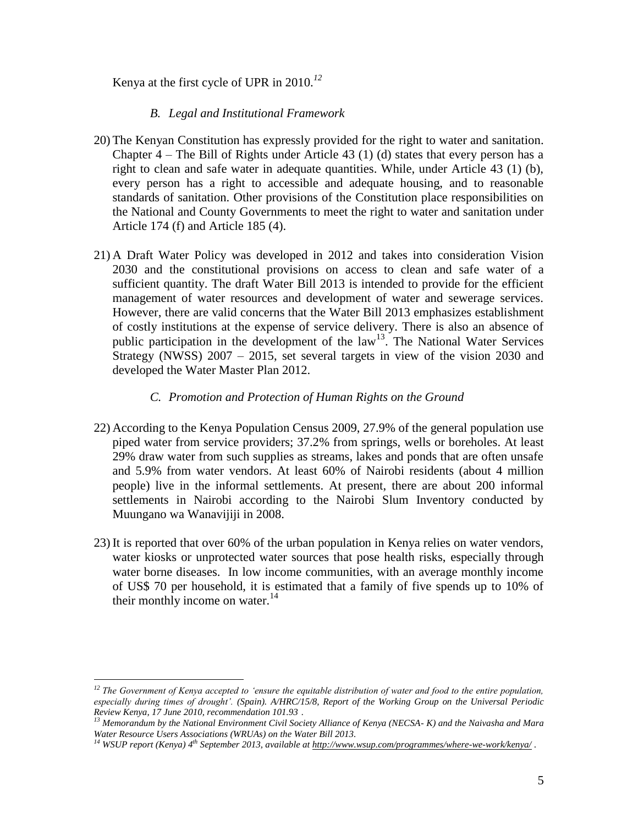Kenya at the first cycle of UPR in 2010.*<sup>12</sup>*

## *B. Legal and Institutional Framework*

- 20) The Kenyan Constitution has expressly provided for the right to water and sanitation. Chapter  $4$  – The Bill of Rights under Article 43 (1) (d) states that every person has a right to clean and safe water in adequate quantities. While, under Article 43 (1) (b), every person has a right to accessible and adequate housing, and to reasonable standards of sanitation. Other provisions of the Constitution place responsibilities on the National and County Governments to meet the right to water and sanitation under Article 174 (f) and Article 185 (4).
- 21) A Draft Water Policy was developed in 2012 and takes into consideration Vision 2030 and the constitutional provisions on access to clean and safe water of a sufficient quantity. The draft Water Bill 2013 is intended to provide for the efficient management of water resources and development of water and sewerage services. However, there are valid concerns that the Water Bill 2013 emphasizes establishment of costly institutions at the expense of service delivery. There is also an absence of public participation in the development of the law<sup>13</sup>. The National Water Services Strategy (NWSS) 2007 – 2015, set several targets in view of the vision 2030 and developed the Water Master Plan 2012.

## *C. Promotion and Protection of Human Rights on the Ground*

- 22) According to the Kenya Population Census 2009, 27.9% of the general population use piped water from service providers; 37.2% from springs, wells or boreholes. At least 29% draw water from such supplies as streams, lakes and ponds that are often unsafe and 5.9% from water vendors. At least 60% of Nairobi residents (about 4 million people) live in the informal settlements. At present, there are about 200 informal settlements in Nairobi according to the Nairobi Slum Inventory conducted by Muungano wa Wanavijiji in 2008.
- 23) It is reported that over 60% of the urban population in Kenya relies on water vendors, water kiosks or unprotected water sources that pose health risks, especially through water borne diseases. In low income communities, with an average monthly income of US\$ 70 per household, it is estimated that a family of five spends up to 10% of their monthly income on water. $14$

*<sup>12</sup> The Government of Kenya accepted to 'ensure the equitable distribution of water and food to the entire population, especially during times of drought'. (Spain). A/HRC/15/8, Report of the Working Group on the Universal Periodic Review Kenya, 17 June 2010, recommendation 101.93 .*

*<sup>13</sup> Memorandum by the National Environment Civil Society Alliance of Kenya (NECSA- K) and the Naivasha and Mara Water Resource Users Associations (WRUAs) on the Water Bill 2013.*

*<sup>14</sup> WSUP report (Kenya) 4 th September 2013, available a[t http://www.wsup.com/programmes/where-we-work/kenya/](http://www.wsup.com/programmes/where-we-work/kenya/)* .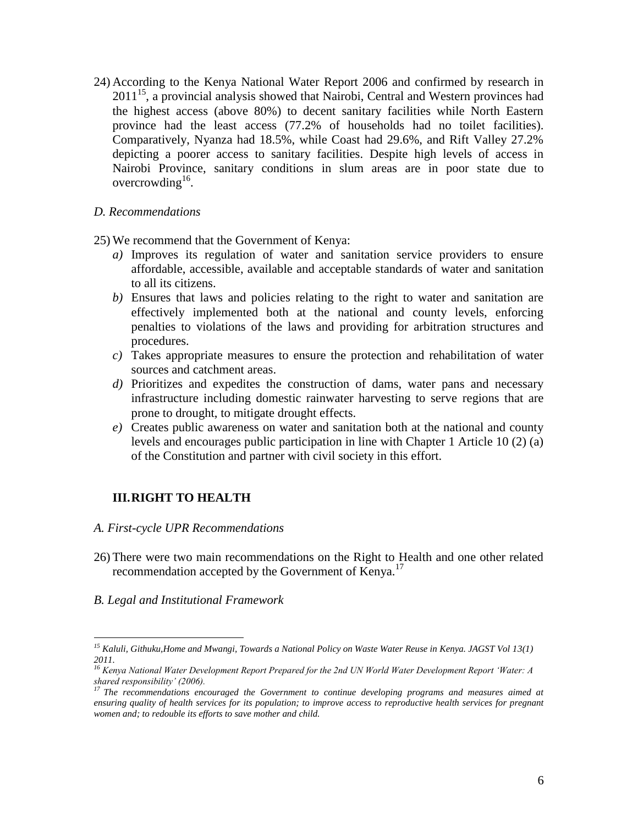24) According to the Kenya National Water Report 2006 and confirmed by research in 2011<sup>15</sup>, a provincial analysis showed that Nairobi, Central and Western provinces had the highest access (above 80%) to decent sanitary facilities while North Eastern province had the least access (77.2% of households had no toilet facilities). Comparatively, Nyanza had 18.5%, while Coast had 29.6%, and Rift Valley 27.2% depicting a poorer access to sanitary facilities. Despite high levels of access in Nairobi Province, sanitary conditions in slum areas are in poor state due to overcrowding<sup>16</sup>.

## *D. Recommendations*

25) We recommend that the Government of Kenya:

- *a)* Improves its regulation of water and sanitation service providers to ensure affordable, accessible, available and acceptable standards of water and sanitation to all its citizens.
- *b)* Ensures that laws and policies relating to the right to water and sanitation are effectively implemented both at the national and county levels, enforcing penalties to violations of the laws and providing for arbitration structures and procedures.
- *c)* Takes appropriate measures to ensure the protection and rehabilitation of water sources and catchment areas.
- *d)* Prioritizes and expedites the construction of dams, water pans and necessary infrastructure including domestic rainwater harvesting to serve regions that are prone to drought, to mitigate drought effects.
- *e)* Creates public awareness on water and sanitation both at the national and county levels and encourages public participation in line with Chapter 1 Article 10 (2) (a) of the Constitution and partner with civil society in this effort.

## **III.RIGHT TO HEALTH**

#### *A. First-cycle UPR Recommendations*

- 26) There were two main recommendations on the Right to Health and one other related recommendation accepted by the Government of Kenya.<sup>17</sup>
- *B. Legal and Institutional Framework*

*<sup>15</sup> Kaluli, Githuku,Home and Mwangi, Towards a National Policy on Waste Water Reuse in Kenya. JAGST Vol 13(1) 2011.*

*<sup>16</sup> Kenya National Water Development Report Prepared for the 2nd UN World Water Development Report 'Water: A shared responsibility' (2006).*

*<sup>17</sup> The recommendations encouraged the Government to continue developing programs and measures aimed at ensuring quality of health services for its population; to improve access to reproductive health services for pregnant women and; to redouble its efforts to save mother and child.*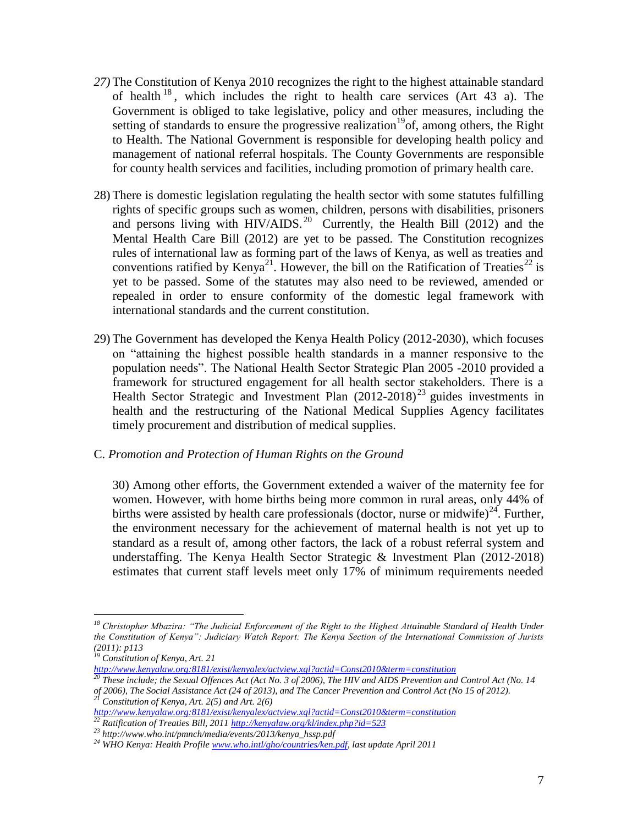- *27)* The Constitution of Kenya 2010 recognizes the right to the highest attainable standard of health  $18$ , which includes the right to health care services (Art 43 a). The Government is obliged to take legislative, policy and other measures, including the setting of standards to ensure the progressive realization<sup>19</sup>of, among others, the Right to Health. The National Government is responsible for developing health policy and management of national referral hospitals. The County Governments are responsible for county health services and facilities, including promotion of primary health care.
- 28) There is domestic legislation regulating the health sector with some statutes fulfilling rights of specific groups such as women, children, persons with disabilities, prisoners and persons living with HIV/AIDS.<sup>20</sup> Currently, the Health Bill (2012) and the Mental Health Care Bill (2012) are yet to be passed. The Constitution recognizes rules of international law as forming part of the laws of Kenya, as well as treaties and conventions ratified by Kenya<sup>21</sup>. However, the bill on the Ratification of Treaties<sup>22</sup> is yet to be passed. Some of the statutes may also need to be reviewed, amended or repealed in order to ensure conformity of the domestic legal framework with international standards and the current constitution.
- 29) The Government has developed the Kenya Health Policy (2012-2030), which focuses on "attaining the highest possible health standards in a manner responsive to the population needs". The National Health Sector Strategic Plan 2005 -2010 provided a framework for structured engagement for all health sector stakeholders. There is a Health Sector Strategic and Investment Plan  $(2012-2018)^{23}$  guides investments in health and the restructuring of the National Medical Supplies Agency facilitates timely procurement and distribution of medical supplies.

## C. *Promotion and Protection of Human Rights on the Ground*

30) Among other efforts, the Government extended a waiver of the maternity fee for women. However, with home births being more common in rural areas, only 44% of births were assisted by health care professionals (doctor, nurse or midwife)<sup>24</sup>. Further, the environment necessary for the achievement of maternal health is not yet up to standard as a result of, among other factors, the lack of a robust referral system and understaffing. The Kenya Health Sector Strategic & Investment Plan (2012-2018) estimates that current staff levels meet only 17% of minimum requirements needed

*<sup>18</sup> Christopher Mbazira: "The Judicial Enforcement of the Right to the Highest Attainable Standard of Health Under the Constitution of Kenya": Judiciary Watch Report: The Kenya Section of the International Commission of Jurists (2011): p113*

*<sup>19</sup> Constitution of Kenya, Art. 21* 

*<http://www.kenyalaw.org:8181/exist/kenyalex/actview.xql?actid=Const2010&term=constitution>*

*<sup>20</sup> These include; the Sexual Offences Act (Act No. 3 of 2006), The HIV and AIDS Prevention and Control Act (No. 14 of 2006), The Social Assistance Act (24 of 2013), and The Cancer Prevention and Control Act (No 15 of 2012). <sup>21</sup> Constitution of Kenya, Art. 2(5) and Art. 2(6)* 

*<http://www.kenyalaw.org:8181/exist/kenyalex/actview.xql?actid=Const2010&term=constitution>*

*<sup>22</sup> Ratification of Treaties Bill, 2011<http://kenyalaw.org/kl/index.php?id=523>*

*<sup>23</sup> http://www.who.int/pmnch/media/events/2013/kenya\_hssp.pdf*

*<sup>24</sup> WHO Kenya: Health Profil[e www.who.intl/gho/countries/ken.pdf,](http://www.who.intl/gho/countries/ken.pdf) last update April 2011*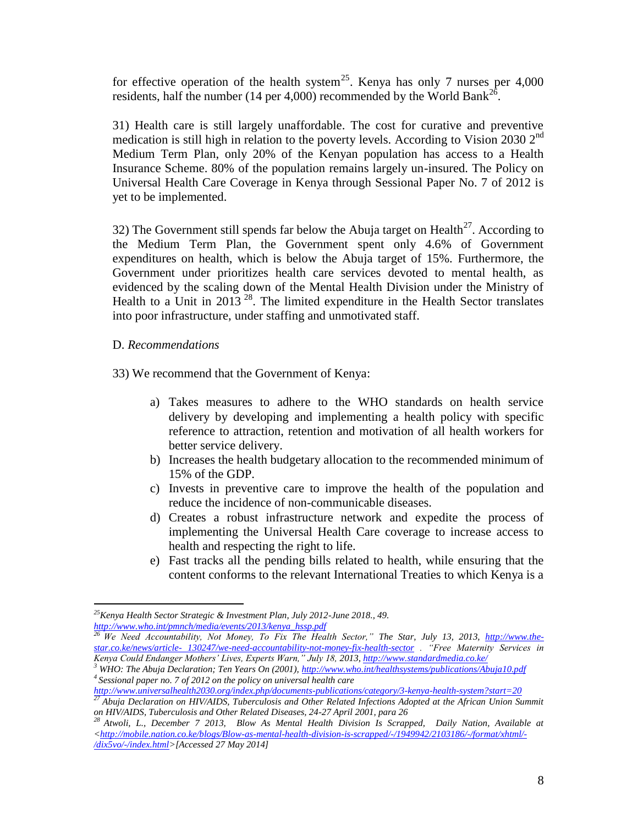for effective operation of the health system<sup>25</sup>. Kenya has only 7 nurses per  $4,000$ residents, half the number (14 per 4,000) recommended by the World Bank<sup>26</sup>.

31) Health care is still largely unaffordable. The cost for curative and preventive medication is still high in relation to the poverty levels. According to Vision 2030  $2<sup>nd</sup>$ Medium Term Plan, only 20% of the Kenyan population has access to a Health Insurance Scheme. 80% of the population remains largely un-insured. The Policy on Universal Health Care Coverage in Kenya through Sessional Paper No. 7 of 2012 is yet to be implemented.

32) The Government still spends far below the Abuja target on Health<sup>27</sup>. According to the Medium Term Plan, the Government spent only 4.6% of Government expenditures on health, which is below the Abuja target of 15%. Furthermore, the Government under prioritizes health care services devoted to mental health, as evidenced by the scaling down of the Mental Health Division under the Ministry of Health to a Unit in 2013<sup>28</sup>. The limited expenditure in the Health Sector translates into poor infrastructure, under staffing and unmotivated staff.

## D. *Recommendations*

33) We recommend that the Government of Kenya:

- a) Takes measures to adhere to the WHO standards on health service delivery by developing and implementing a health policy with specific reference to attraction, retention and motivation of all health workers for better service delivery.
- b) Increases the health budgetary allocation to the recommended minimum of 15% of the GDP.
- c) Invests in preventive care to improve the health of the population and reduce the incidence of non-communicable diseases.
- d) Creates a robust infrastructure network and expedite the process of implementing the Universal Health Care coverage to increase access to health and respecting the right to life.
- e) Fast tracks all the pending bills related to health, while ensuring that the content conforms to the relevant International Treaties to which Kenya is a

 $\overline{a}$ *<sup>25</sup>Kenya Health Sector Strategic & Investment Plan, July 2012-June 2018., 49. [http://www.who.int/pmnch/media/events/2013/kenya\\_hssp.pdf](http://www.who.int/pmnch/media/events/2013/kenya_hssp.pdf)*

<sup>&</sup>lt;sup>26</sup> *We Need Accountability, Not Money, To Fix The Health Sector," The Star, July 13, 2013, [http://www.the](http://www.the-star.co.ke/news/article-%20130247/we-need-accountability-not-money-fix-health-sector)star.co.ke/news/article- [130247/we-need-accountability-not-money-fix-health-sector](http://www.the-star.co.ke/news/article-%20130247/we-need-accountability-not-money-fix-health-sector) . "Free Maternity Services in Kenya Could Endanger Mothers' Lives, Experts Warn," July 18, 2013[, http://www.standardmedia.co.ke/](http://www.standardmedia.co.ke/)*

*<sup>3</sup> WHO: The Abuja Declaration; Ten Years On (2001)[, http://www.who.int/healthsystems/publications/Abuja10.pdf](http://www.who.int/healthsystems/publications/Abuja10.pdf) <sup>4</sup>Sessional paper no. 7 of 2012 on the policy on universal health care* 

*<http://www.universalhealth2030.org/index.php/documents-publications/category/3-kenya-health-system?start=20>*<br><sup>27</sup> Abvia Declaration = *HW/AFSC* E 1 *<sup>27</sup> Abuja Declaration on HIV/AIDS, Tuberculosis and Other Related Infections Adopted at the African Union Summit on HIV/AIDS, Tuberculosis and Other Related Diseases, 24-27 April 2001, para 26*

*<sup>28</sup> Atwoli, L., December 7 2013, Blow As Mental Health Division Is Scrapped, Daily Nation, Available at [<http://mobile.nation.co.ke/blogs/Blow-as-mental-health-division-is-scrapped/-/1949942/2103186/-/format/xhtml/-](http://mobile.nation.co.ke/blogs/Blow-as-mental-health-division-is-scrapped/-/1949942/2103186/-/format/xhtml/-/dix5vo/-/index.html) [/dix5vo/-/index.html>](http://mobile.nation.co.ke/blogs/Blow-as-mental-health-division-is-scrapped/-/1949942/2103186/-/format/xhtml/-/dix5vo/-/index.html)[Accessed 27 May 2014]*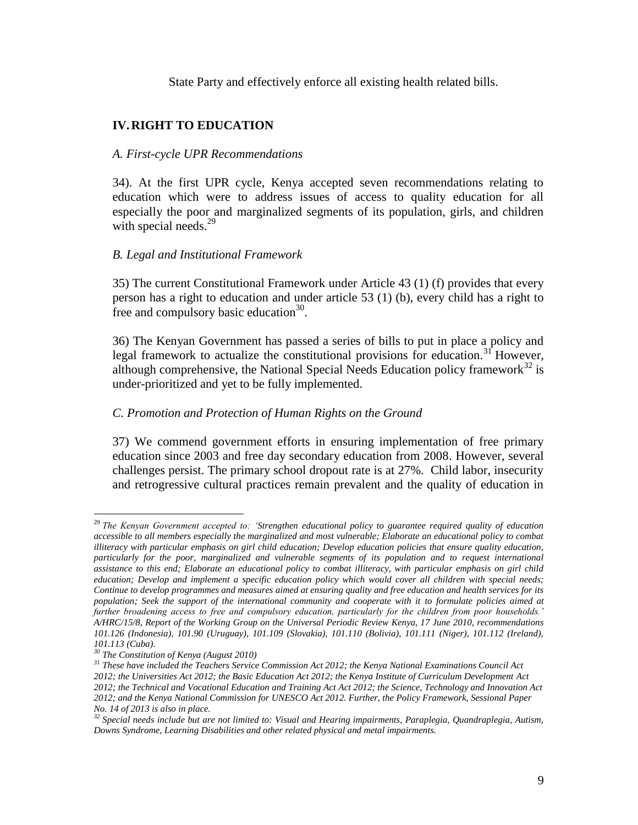State Party and effectively enforce all existing health related bills.

## **IV.RIGHT TO EDUCATION**

## *A. First-cycle UPR Recommendations*

34). At the first UPR cycle, Kenya accepted seven recommendations relating to education which were to address issues of access to quality education for all especially the poor and marginalized segments of its population, girls, and children with special needs. $^{29}$ 

## *B. Legal and Institutional Framework*

35) The current Constitutional Framework under Article 43 (1) (f) provides that every person has a right to education and under article 53 (1) (b), every child has a right to free and compulsory basic education $^{30}$ .

36) The Kenyan Government has passed a series of bills to put in place a policy and legal framework to actualize the constitutional provisions for education.<sup>31</sup> However, although comprehensive, the National Special Needs Education policy framework $^{32}$  is under-prioritized and yet to be fully implemented.

## *C. Promotion and Protection of Human Rights on the Ground*

37) We commend government efforts in ensuring implementation of free primary education since 2003 and free day secondary education from 2008. However, several challenges persist. The primary school dropout rate is at 27%. Child labor, insecurity and retrogressive cultural practices remain prevalent and the quality of education in

<sup>29</sup> *The Kenyan Government accepted to: 'Strengthen educational policy to guarantee required quality of education accessible to all members especially the marginalized and most vulnerable; Elaborate an educational policy to combat illiteracy with particular emphasis on girl child education; Develop education policies that ensure quality education, particularly for the poor, marginalized and vulnerable segments of its population and to request international assistance to this end; Elaborate an educational policy to combat illiteracy, with particular emphasis on girl child*  education; Develop and implement a specific education policy which would cover all children with special needs; *Continue to develop programmes and measures aimed at ensuring quality and free education and health services for its population; Seek the support of the international community and cooperate with it to formulate policies aimed at further broadening access to free and compulsory education, particularly for the children from poor households.' A/HRC/15/8, Report of the Working Group on the Universal Periodic Review Kenya, 17 June 2010, recommendations 101.126 (Indonesia), 101.90 (Uruguay), 101.109 (Slovakia), 101.110 (Bolivia), 101.111 (Niger), 101.112 (Ireland), 101.113 (Cuba).* 

*<sup>30</sup> The Constitution of Kenya (August 2010)*

*<sup>31</sup> These have included the Teachers Service Commission Act 2012; the Kenya National Examinations Council Act 2012; the Universities Act 2012; the Basic Education Act 2012; the Kenya Institute of Curriculum Development Act 2012; the Technical and Vocational Education and Training Act Act 2012; the Science, Technology and Innovation Act 2012; and the Kenya National Commission for UNESCO Act 2012. Further, the Policy Framework, Sessional Paper No. 14 of 2013 is also in place.* 

*<sup>32</sup> Special needs include but are not limited to: Visual and Hearing impairments, Paraplegia, Quandraplegia, Autism, Downs Syndrome, Learning Disabilities and other related physical and metal impairments.*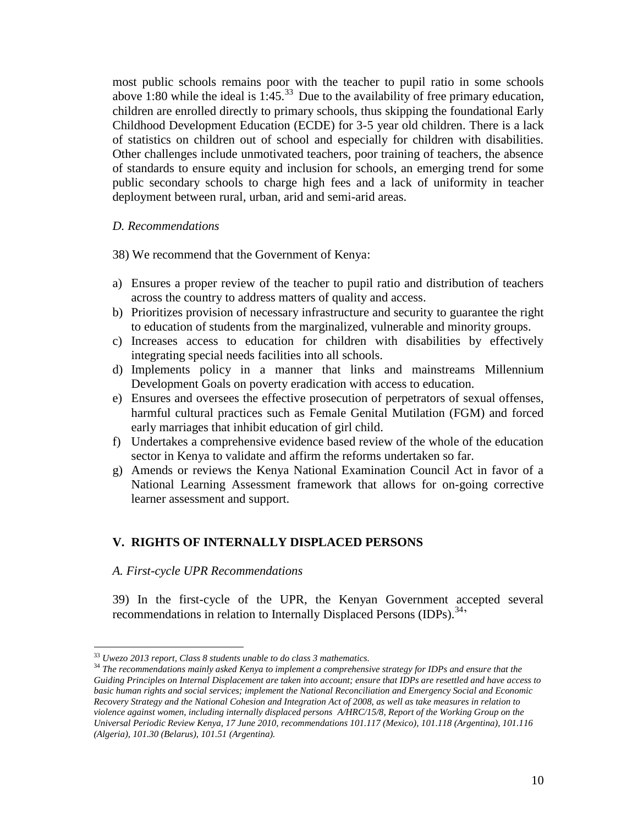most public schools remains poor with the teacher to pupil ratio in some schools above 1:80 while the ideal is  $1:45.^{33}$  Due to the availability of free primary education, children are enrolled directly to primary schools, thus skipping the foundational Early Childhood Development Education (ECDE) for 3-5 year old children. There is a lack of statistics on children out of school and especially for children with disabilities. Other challenges include unmotivated teachers, poor training of teachers, the absence of standards to ensure equity and inclusion for schools, an emerging trend for some public secondary schools to charge high fees and a lack of uniformity in teacher deployment between rural, urban, arid and semi-arid areas.

#### *D. Recommendations*

38) We recommend that the Government of Kenya:

- a) Ensures a proper review of the teacher to pupil ratio and distribution of teachers across the country to address matters of quality and access.
- b) Prioritizes provision of necessary infrastructure and security to guarantee the right to education of students from the marginalized, vulnerable and minority groups.
- c) Increases access to education for children with disabilities by effectively integrating special needs facilities into all schools.
- d) Implements policy in a manner that links and mainstreams Millennium Development Goals on poverty eradication with access to education.
- e) Ensures and oversees the effective prosecution of perpetrators of sexual offenses, harmful cultural practices such as Female Genital Mutilation (FGM) and forced early marriages that inhibit education of girl child.
- f) Undertakes a comprehensive evidence based review of the whole of the education sector in Kenya to validate and affirm the reforms undertaken so far.
- g) Amends or reviews the Kenya National Examination Council Act in favor of a National Learning Assessment framework that allows for on-going corrective learner assessment and support.

## **V. RIGHTS OF INTERNALLY DISPLACED PERSONS**

*A. First-cycle UPR Recommendations* 

 $\overline{a}$ 

39) In the first-cycle of the UPR, the Kenyan Government accepted several recommendations in relation to Internally Displaced Persons (IDPs).<sup>34</sup>

<sup>33</sup> *Uwezo 2013 report, Class 8 students unable to do class 3 mathematics.*

<sup>34</sup> *The recommendations mainly asked Kenya to implement a comprehensive strategy for IDPs and ensure that the Guiding Principles on Internal Displacement are taken into account; ensure that IDPs are resettled and have access to basic human rights and social services; implement the National Reconciliation and Emergency Social and Economic Recovery Strategy and the National Cohesion and Integration Act of 2008, as well as take measures in relation to violence against women, including internally displaced persons A/HRC/15/8, Report of the Working Group on the Universal Periodic Review Kenya, 17 June 2010, recommendations 101.117 (Mexico), 101.118 (Argentina), 101.116 (Algeria), 101.30 (Belarus), 101.51 (Argentina).*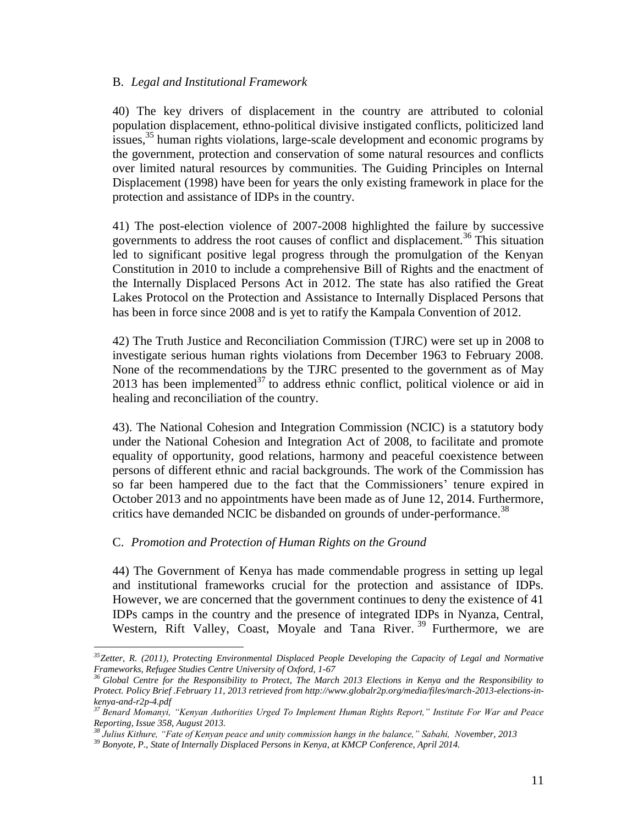#### B. *Legal and Institutional Framework*

40) The key drivers of displacement in the country are attributed to colonial population displacement, ethno-political divisive instigated conflicts, politicized land issues,<sup>35</sup> human rights violations, large-scale development and economic programs by the government, protection and conservation of some natural resources and conflicts over limited natural resources by communities. The Guiding Principles on Internal Displacement (1998) have been for years the only existing framework in place for the protection and assistance of IDPs in the country.

41) The post-election violence of 2007-2008 highlighted the failure by successive governments to address the root causes of conflict and displacement.<sup>36</sup> This situation led to significant positive legal progress through the promulgation of the Kenyan Constitution in 2010 to include a comprehensive Bill of Rights and the enactment of the Internally Displaced Persons Act in 2012. The state has also ratified the Great Lakes Protocol on the Protection and Assistance to Internally Displaced Persons that has been in force since 2008 and is yet to ratify the Kampala Convention of 2012.

42) The Truth Justice and Reconciliation Commission (TJRC) were set up in 2008 to investigate serious human rights violations from December 1963 to February 2008. None of the recommendations by the TJRC presented to the government as of May 2013 has been implemented<sup>37</sup> to address ethnic conflict, political violence or aid in healing and reconciliation of the country.

43). The National Cohesion and Integration Commission (NCIC) is a statutory body under the National Cohesion and Integration Act of 2008, to facilitate and promote equality of opportunity, good relations, harmony and peaceful coexistence between persons of different ethnic and racial backgrounds. The work of the Commission has so far been hampered due to the fact that the Commissioners' tenure expired in October 2013 and no appointments have been made as of June 12, 2014. Furthermore, critics have demanded NCIC be disbanded on grounds of under-performance.<sup>38</sup>

## C. *Promotion and Protection of Human Rights on the Ground*

 $\overline{a}$ 

44) The Government of Kenya has made commendable progress in setting up legal and institutional frameworks crucial for the protection and assistance of IDPs. However, we are concerned that the government continues to deny the existence of 41 IDPs camps in the country and the presence of integrated IDPs in Nyanza, Central, Western, Rift Valley, Coast, Moyale and Tana River.<sup>39</sup> Furthermore, we are

*<sup>35</sup>Zetter, R. (2011), Protecting Environmental Displaced People Developing the Capacity of Legal and Normative Frameworks, Refugee Studies Centre University of Oxford, 1-67*

<sup>&</sup>lt;sup>36</sup> Global Centre for the Responsibility to Protect, The March 2013 Elections in Kenya and the Responsibility to *Protect. Policy Brief .February 11, 2013 retrieved from http://www.globalr2p.org/media/files/march-2013-elections-inkenya-and-r2p-4.pdf*

*<sup>37</sup> Benard Momanyi, "Kenyan Authorities Urged To Implement Human Rights Report," Institute For War and Peace Reporting, Issue 358, August 2013.*

*<sup>38</sup> Julius Kithure, "Fate of Kenyan peace and unity commission hangs in the balance," Sabahi, November, 2013* 

<sup>39</sup> *Bonyote, P., State of Internally Displaced Persons in Kenya, at KMCP Conference, April 2014.*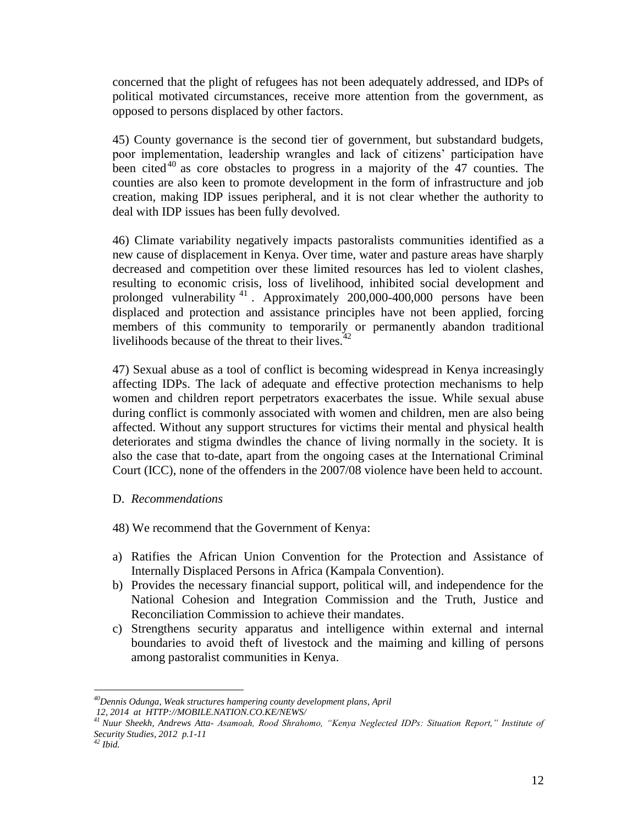concerned that the plight of refugees has not been adequately addressed, and IDPs of political motivated circumstances, receive more attention from the government, as opposed to persons displaced by other factors.

45) County governance is the second tier of government, but substandard budgets, poor implementation, leadership wrangles and lack of citizens' participation have been cited<sup>40</sup> as core obstacles to progress in a majority of the 47 counties. The counties are also keen to promote development in the form of infrastructure and job creation, making IDP issues peripheral, and it is not clear whether the authority to deal with IDP issues has been fully devolved.

46) Climate variability negatively impacts pastoralists communities identified as a new cause of displacement in Kenya. Over time, water and pasture areas have sharply decreased and competition over these limited resources has led to violent clashes, resulting to economic crisis, loss of livelihood, inhibited social development and prolonged vulnerability <sup>41</sup> . Approximately 200,000-400,000 persons have been displaced and protection and assistance principles have not been applied, forcing members of this community to temporarily or permanently abandon traditional livelihoods because of the threat to their lives. $\frac{3}{2}$ 

47) Sexual abuse as a tool of conflict is becoming widespread in Kenya increasingly affecting IDPs. The lack of adequate and effective protection mechanisms to help women and children report perpetrators exacerbates the issue. While sexual abuse during conflict is commonly associated with women and children, men are also being affected. Without any support structures for victims their mental and physical health deteriorates and stigma dwindles the chance of living normally in the society. It is also the case that to-date, apart from the ongoing cases at the International Criminal Court (ICC), none of the offenders in the 2007/08 violence have been held to account.

## D. *Recommendations*

48) We recommend that the Government of Kenya:

- a) Ratifies the African Union Convention for the Protection and Assistance of Internally Displaced Persons in Africa (Kampala Convention).
- b) Provides the necessary financial support, political will, and independence for the National Cohesion and Integration Commission and the Truth, Justice and Reconciliation Commission to achieve their mandates.
- c) Strengthens security apparatus and intelligence within external and internal boundaries to avoid theft of livestock and the maiming and killing of persons among pastoralist communities in Kenya.

*<sup>40</sup>Dennis Odunga, Weak structures hampering county development plans, April*

*<sup>12,</sup> 2014 at HTTP://MOBILE.NATION.CO.KE/NEWS/*

*<sup>41</sup> Nuur Sheekh, Andrews Atta- Asamoah, Rood Shrahomo, "Kenya Neglected IDPs: Situation Report," Institute of Security Studies, 2012 p.1-11*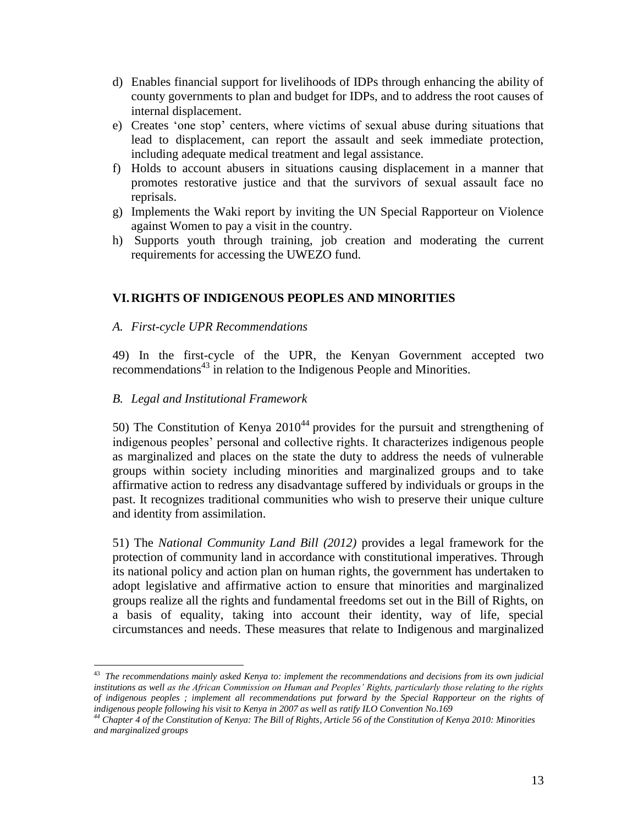- d) Enables financial support for livelihoods of IDPs through enhancing the ability of county governments to plan and budget for IDPs, and to address the root causes of internal displacement.
- e) Creates 'one stop' centers, where victims of sexual abuse during situations that lead to displacement, can report the assault and seek immediate protection, including adequate medical treatment and legal assistance.
- f) Holds to account abusers in situations causing displacement in a manner that promotes restorative justice and that the survivors of sexual assault face no reprisals.
- g) Implements the Waki report by inviting the UN Special Rapporteur on Violence against Women to pay a visit in the country.
- h) Supports youth through training, job creation and moderating the current requirements for accessing the UWEZO fund.

## **VI.RIGHTS OF INDIGENOUS PEOPLES AND MINORITIES**

## *A. First-cycle UPR Recommendations*

49) In the first-cycle of the UPR, the Kenyan Government accepted two recommendations<sup>43</sup> in relation to the Indigenous People and Minorities.

## *B. Legal and Institutional Framework*

50) The Constitution of Kenya  $2010^{44}$  provides for the pursuit and strengthening of indigenous peoples' personal and collective rights. It characterizes indigenous people as marginalized and places on the state the duty to address the needs of vulnerable groups within society including minorities and marginalized groups and to take affirmative action to redress any disadvantage suffered by individuals or groups in the past. It recognizes traditional communities who wish to preserve their unique culture and identity from assimilation.

51) The *National Community Land Bill (2012)* provides a legal framework for the protection of community land in accordance with constitutional imperatives. Through its national policy and action plan on human rights, the government has undertaken to adopt legislative and affirmative action to ensure that minorities and marginalized groups realize all the rights and fundamental freedoms set out in the Bill of Rights, on a basis of equality, taking into account their identity, way of life, special circumstances and needs. These measures that relate to Indigenous and marginalized

 43 *The recommendations mainly asked Kenya to: implement the recommendations and decisions from its own judicial institutions as well as the African Commission on Human and Peoples' Rights, particularly those relating to the rights of indigenous peoples ; implement all recommendations put forward by the Special Rapporteur on the rights of indigenous people following his visit to Kenya in 2007 as well as ratify ILO Convention No.169*

*<sup>44</sup> Chapter 4 of the Constitution of Kenya: The Bill of Rights, Article 56 of the Constitution of Kenya 2010: Minorities and marginalized groups*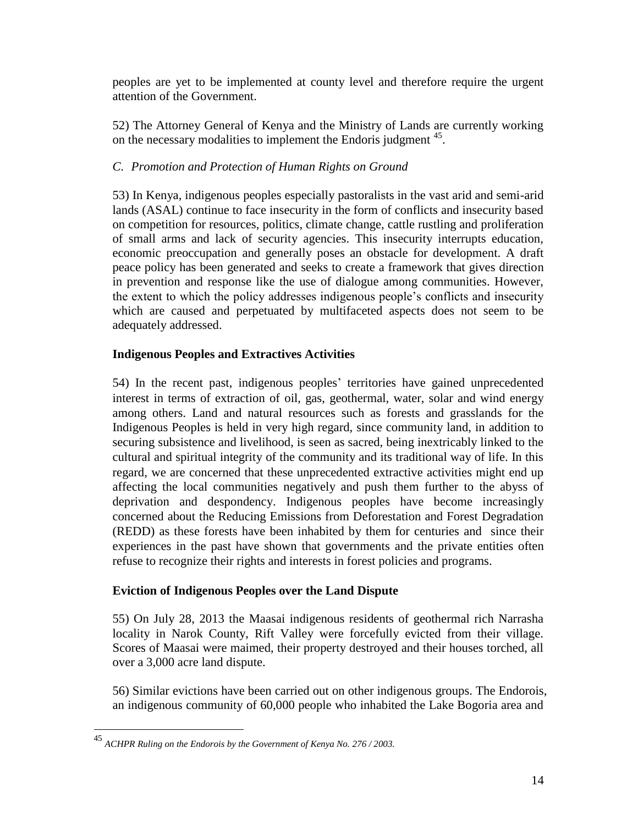peoples are yet to be implemented at county level and therefore require the urgent attention of the Government.

52) The Attorney General of Kenya and the Ministry of Lands are currently working on the necessary modalities to implement the Endoris judgment <sup>45</sup>.

# *C. Promotion and Protection of Human Rights on Ground*

53) In Kenya, indigenous peoples especially pastoralists in the vast arid and semi-arid lands (ASAL) continue to face insecurity in the form of conflicts and insecurity based on competition for resources, politics, climate change, cattle rustling and proliferation of small arms and lack of security agencies. This insecurity interrupts education, economic preoccupation and generally poses an obstacle for development. A draft peace policy has been generated and seeks to create a framework that gives direction in prevention and response like the use of dialogue among communities. However, the extent to which the policy addresses indigenous people's conflicts and insecurity which are caused and perpetuated by multifaceted aspects does not seem to be adequately addressed.

## **Indigenous Peoples and Extractives Activities**

54) In the recent past, indigenous peoples' territories have gained unprecedented interest in terms of extraction of oil, gas, geothermal, water, solar and wind energy among others. Land and natural resources such as forests and grasslands for the Indigenous Peoples is held in very high regard, since community land, in addition to securing subsistence and livelihood, is seen as sacred, being inextricably linked to the cultural and spiritual integrity of the community and its traditional way of life. In this regard, we are concerned that these unprecedented extractive activities might end up affecting the local communities negatively and push them further to the abyss of deprivation and despondency. Indigenous peoples have become increasingly concerned about the Reducing Emissions from Deforestation and Forest Degradation (REDD) as these forests have been inhabited by them for centuries and since their experiences in the past have shown that governments and the private entities often refuse to recognize their rights and interests in forest policies and programs.

## **Eviction of Indigenous Peoples over the Land Dispute**

55) On July 28, 2013 the Maasai indigenous residents of geothermal rich Narrasha locality in Narok County, Rift Valley were forcefully evicted from their village. Scores of Maasai were maimed, their property destroyed and their houses torched, all over a 3,000 acre land dispute.

56) Similar evictions have been carried out on other indigenous groups. The Endorois, an indigenous community of 60,000 people who inhabited the Lake Bogoria area and

<sup>45</sup> *ACHPR Ruling on the Endorois by the Government of Kenya No. 276 / 2003.*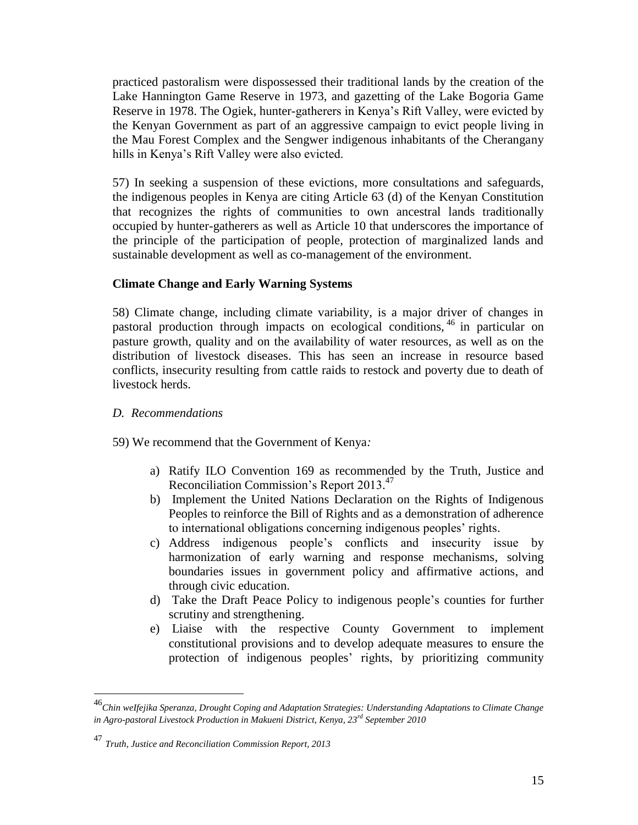practiced pastoralism were dispossessed their traditional lands by the creation of the Lake Hannington Game Reserve in 1973, and gazetting of the Lake Bogoria Game Reserve in 1978. The Ogiek, hunter-gatherers in Kenya's Rift Valley, were evicted by the Kenyan Government as part of an aggressive campaign to evict people living in the Mau Forest Complex and the Sengwer indigenous inhabitants of the Cherangany hills in Kenya's Rift Valley were also evicted.

57) In seeking a suspension of these evictions, more consultations and safeguards, the indigenous peoples in Kenya are citing Article 63 (d) of the Kenyan Constitution that recognizes the rights of communities to own ancestral lands traditionally occupied by hunter-gatherers as well as Article 10 that underscores the importance of the principle of the participation of people, protection of marginalized lands and sustainable development as well as co-management of the environment.

## **Climate Change and Early Warning Systems**

58) Climate change, including climate variability, is a major driver of changes in pastoral production through impacts on ecological conditions, <sup>46</sup> in particular on pasture growth, quality and on the availability of water resources, as well as on the distribution of livestock diseases. This has seen an increase in resource based conflicts, insecurity resulting from cattle raids to restock and poverty due to death of livestock herds.

## *D. Recommendations*

- 59) We recommend that the Government of Kenya*:*
	- a) Ratify ILO Convention 169 as recommended by the Truth, Justice and Reconciliation Commission's Report 2013. 47
	- b) Implement the United Nations Declaration on the Rights of Indigenous Peoples to reinforce the Bill of Rights and as a demonstration of adherence to international obligations concerning indigenous peoples' rights.
	- c) Address indigenous people's conflicts and insecurity issue by harmonization of early warning and response mechanisms, solving boundaries issues in government policy and affirmative actions, and through civic education.
	- d) Take the Draft Peace Policy to indigenous people's counties for further scrutiny and strengthening.
	- e) Liaise with the respective County Government to implement constitutional provisions and to develop adequate measures to ensure the protection of indigenous peoples' rights, by prioritizing community

<sup>46</sup>*Chin weIfejika Speranza, Drought Coping and Adaptation Strategies: Understanding Adaptations to Climate Change in Agro-pastoral Livestock Production in Makueni District, Kenya, 23rd September 2010*

<sup>47</sup> *Truth, Justice and Reconciliation Commission Report, 2013*